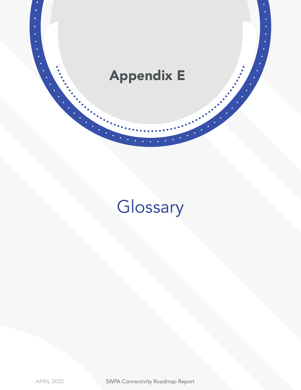

 $\begin{bmatrix} \cdot \\ \cdot \\ \cdot \end{bmatrix}$ 

# Glossary

 $\bullet$ 

APRIL 2022 SWPA Connectivity Roadmap Report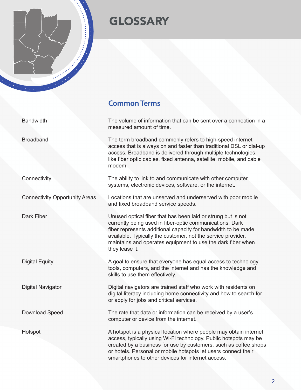## **GLOSSARY**

#### **Common Terms**

Bandwidth The volume of information that can be sent over a connection in a measured amount of time.

Broadband The term broadband commonly refers to high-speed internet access that is always on and faster than traditional DSL or dial-up access. Broadband is delivered through multiple technologies, like fiber optic cables, fixed antenna, satellite, mobile, and cable modem.

Connectivity The ability to link to and communicate with other computer systems, electronic devices, software, or the internet.

Connectivity Opportunity Areas Locations that are unserved and underserved with poor mobile and fixed broadband service speeds.

Dark Fiber **Dark Fiber** Unused optical fiber that has been laid or strung but is not currently being used in fiber-optic communications. Dark fiber represents additional capacity for bandwidth to be made available. Typically the customer, not the service provider, maintains and operates equipment to use the dark fiber when they lease it.

Digital Equity **A** goal to ensure that everyone has equal access to technology tools, computers, and the internet and has the knowledge and skills to use them effectively.

Digital Navigator **Digital navigators are trained staff who work with residents on** digital literacy including home connectivity and how to search for or apply for jobs and critical services.

Download Speed The rate that data or information can be received by a user's computer or device from the internet.

Hotspot A hotspot is a physical location where people may obtain internet access, typically using Wi-Fi technology. Public hotspots may be created by a business for use by customers, such as coffee shops or hotels. Personal or mobile hotspots let users connect their smartphones to other devices for internet access.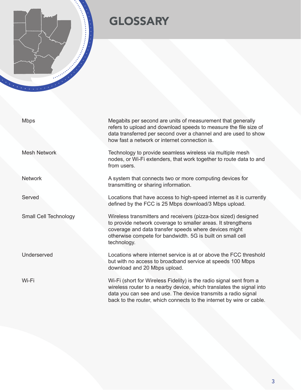

### **GLOSSARY**

Mbps Megabits per second are units of measurement that generally refers to upload and download speeds to measure the file size of data transferred per second over a channel and are used to show how fast a network or internet connection is. Mesh Network Technology to provide seamless wireless via multiple mesh nodes, or Wi-Fi extenders, that work together to route data to and from users. Network **A** system that connects two or more computing devices for transmitting or sharing information. Served Locations that have access to high-speed internet as it is currently defined by the FCC is 25 Mbps download/3 Mbps upload. Small Cell Technology Wireless transmitters and receivers (pizza-box sized) designed to provide network coverage to smaller areas. It strengthens coverage and data transfer speeds where devices might otherwise compete for bandwidth. 5G is built on small cell technology. Underserved Locations where internet service is at or above the FCC threshold

download and 20 Mbps upload.

Wi-Fi Wi-Fi (short for Wireless Fidelity) is the radio signal sent from a wireless router to a nearby device, which translates the signal into data you can see and use. The device transmits a radio signal back to the router, which connects to the internet by wire or cable.

but with no access to broadband service at speeds 100 Mbps